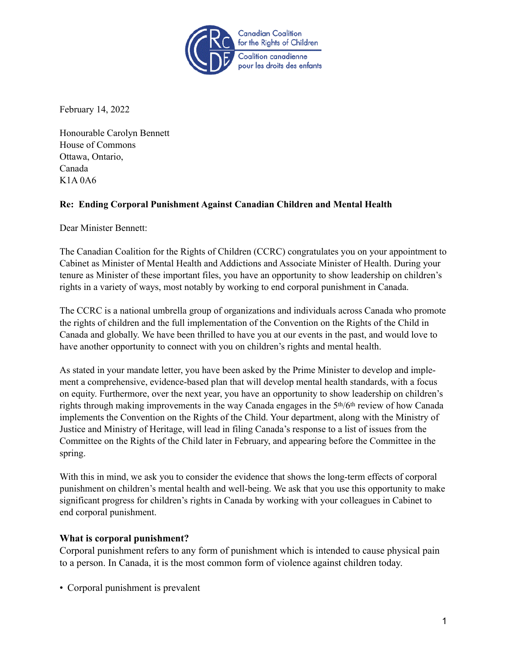

February 14, 2022

Honourable Carolyn Bennett House of Commons Ottawa, Ontario, Canada K1A 0A6

# **Re: Ending Corporal Punishment Against Canadian Children and Mental Health**

Dear Minister Bennett:

The Canadian Coalition for the Rights of Children (CCRC) congratulates you on your appointment to Cabinet as Minister of Mental Health and Addictions and Associate Minister of Health. During your tenure as Minister of these important files, you have an opportunity to show leadership on children's rights in a variety of ways, most notably by working to end corporal punishment in Canada.

The CCRC is a national umbrella group of organizations and individuals across Canada who promote the rights of children and the full implementation of the Convention on the Rights of the Child in Canada and globally. We have been thrilled to have you at our events in the past, and would love to have another opportunity to connect with you on children's rights and mental health.

As stated in your mandate letter, you have been asked by the Prime Minister to develop and implement a comprehensive, evidence-based plan that will develop mental health standards, with a focus on equity. Furthermore, over the next year, you have an opportunity to show leadership on children's rights through making improvements in the way Canada engages in the 5th/6th review of how Canada implements the Convention on the Rights of the Child. Your department, along with the Ministry of Justice and Ministry of Heritage, will lead in filing Canada's response to a list of issues from the Committee on the Rights of the Child later in February, and appearing before the Committee in the spring.

With this in mind, we ask you to consider the evidence that shows the long-term effects of corporal punishment on children's mental health and well-being. We ask that you use this opportunity to make significant progress for children's rights in Canada by working with your colleagues in Cabinet to end corporal punishment.

# **What is corporal punishment?**

Corporal punishment refers to any form of punishment which is intended to cause physical pain to a person. In Canada, it is the most common form of violence against children today.

• Corporal punishment is prevalent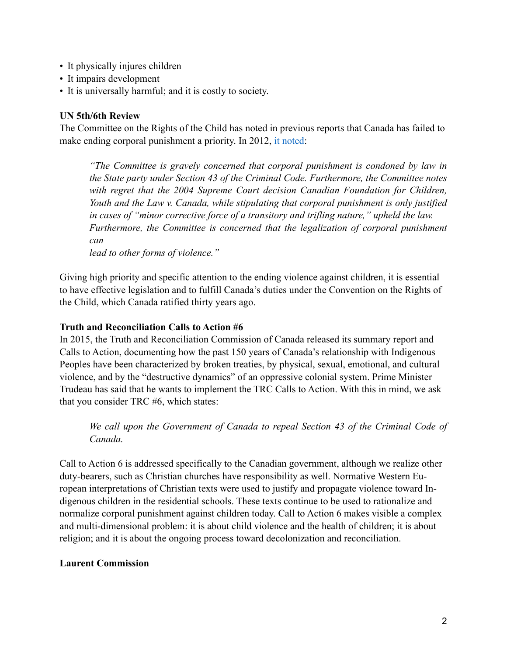- It physically injures children
- It impairs development
- It is universally harmful; and it is costly to society.

## **UN 5th/6th Review**

The Committee on the Rights of the Child has noted in previous reports that Canada has failed to make ending corporal punishment a priority. In 2012[, it noted:](http://rightsofchildren.ca/wp-content/uploads/2016/03/Canada_CRC-Concluding-Observations_61.2012.pdf)

*"The Committee is gravely concerned that corporal punishment is condoned by law in the State party under Section 43 of the Criminal Code. Furthermore, the Committee notes*  with regret that the 2004 Supreme Court decision Canadian Foundation for Children, *Youth and the Law v. Canada, while stipulating that corporal punishment is only justified in cases of "minor corrective force of a transitory and trifling nature," upheld the law. Furthermore, the Committee is concerned that the legalization of corporal punishment can* 

*lead to other forms of violence."* 

Giving high priority and specific attention to the ending violence against children, it is essential to have effective legislation and to fulfill Canada's duties under the Convention on the Rights of the Child, which Canada ratified thirty years ago.

### **Truth and Reconciliation Calls to Action #6**

In 2015, the Truth and Reconciliation Commission of Canada released its summary report and Calls to Action, documenting how the past 150 years of Canada's relationship with Indigenous Peoples have been characterized by broken treaties, by physical, sexual, emotional, and cultural violence, and by the "destructive dynamics" of an oppressive colonial system. Prime Minister Trudeau has said that he wants to implement the TRC Calls to Action. With this in mind, we ask that you consider TRC #6, which states:

*We call upon the Government of Canada to repeal Section 43 of the Criminal Code of Canada.* 

Call to Action 6 is addressed specifically to the Canadian government, although we realize other duty-bearers, such as Christian churches have responsibility as well. Normative Western European interpretations of Christian texts were used to justify and propagate violence toward Indigenous children in the residential schools. These texts continue to be used to rationalize and normalize corporal punishment against children today. Call to Action 6 makes visible a complex and multi-dimensional problem: it is about child violence and the health of children; it is about religion; and it is about the ongoing process toward decolonization and reconciliation.

# **Laurent Commission**